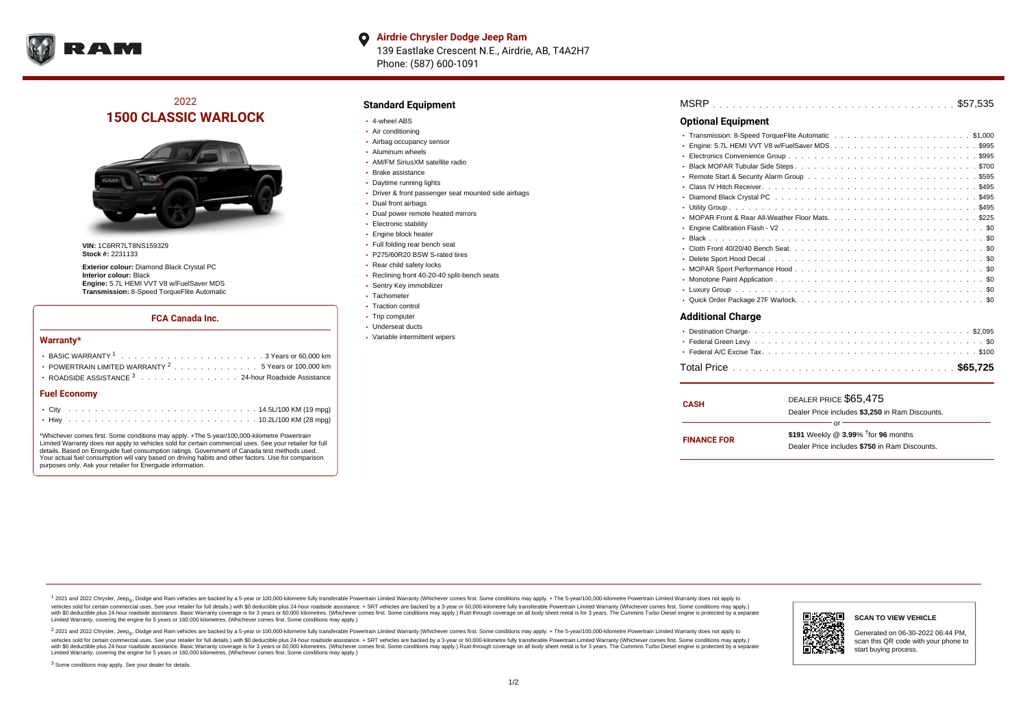

#### **Airdrie Chrysler Dodge Jeep Ram**  $\bullet$

139 Eastlake Crescent N.E., Airdrie, AB, T4A2H7 Phone: (587) 600-1091

# 2022 **1500 CLASSIC WARLOCK**



**VIN:** 1C6RR7LT8NS159329 **Stock #:** 2231133

**Exterior colour:** Diamond Black Crystal PC **Interior colour:** Black **Engine:** 5.7L HEMI VVT V8 w/FuelSaver MDS **Transmission:** 8-Speed TorqueFlite Automatic

#### **FCA Canada Inc.**

#### **Warranty\***

| POWERTRAIN LIMITED WARRANTY $2, \ldots, \ldots, \ldots, \ldots, 5$ Years or 100,000 km |  |  |  |  |  |
|----------------------------------------------------------------------------------------|--|--|--|--|--|
| • ROADSIDE ASSISTANCE 3 24-hour Roadside Assistance                                    |  |  |  |  |  |
| <b>Fuel Economy</b>                                                                    |  |  |  |  |  |
|                                                                                        |  |  |  |  |  |

# . . . . . . . . . . . . . . . . . . . . . . . . . . . . . . . . . . . . . . . . . . . Hwy 10.2L/100 KM (28 mpg)

\*Whichever comes first. Some conditions may apply. +The 5-year/100,000-kilometre Powertrain Limited Warranty does not apply to vehicles sold for certain commercial uses. See your retailer for full details. Based on Energuide fuel consumption ratings. Government of Canada test methods used. Your actual fuel consumption will vary based on driving habits and other factors. Use for comparison purposes only. Ask your retailer for Energuide information.

## **Standard Equipment**

- 4-wheel ABS
- Air conditioning
- Airbag occupancy sensor
- Aluminum wheels
- AM/FM SiriusXM satellite radio
- Brake assistance
- Daytime running lights
- Driver & front passenger seat mounted side airbags
- Dual front airbags
- Dual power remote heated mirrors
- **Electronic stability**
- Engine block heater
- Full folding rear bench seat
- P275/60R20 BSW S-rated tires
- Rear child safety locks
- Reclining front 40-20-40 split-bench seats
- Sentry Key immobilizer
- Tachometer
- Traction control • Trip computer
- Underseat ducts
- Variable intermittent wipers

| <b>Optional Equipment</b> |
|---------------------------|
|                           |
| ٠                         |
|                           |
| ٠                         |
|                           |
|                           |
|                           |
|                           |
|                           |
| ٠                         |
|                           |
|                           |
|                           |
|                           |
|                           |
|                           |
|                           |
| <b>Additional Charge</b>  |
|                           |
|                           |
|                           |

| <b>CASH</b>        | DEALER PRICE \$65,475<br>Dealer Price includes \$3.250 in Ram Discounts.                                  |  |  |  |  |  |
|--------------------|-----------------------------------------------------------------------------------------------------------|--|--|--|--|--|
| <b>FINANCE FOR</b> | Ωr<br>\$191 Weekly @ $3.99\%$ <sup>†</sup> for 96 months<br>Dealer Price includes \$750 in Ram Discounts. |  |  |  |  |  |

. . . . . . . . . . . . . . . . . . . . . . . . . . . . . . . . . . . . . . . . . . . . . . Total Price **\$65,725**

1 2021 and 2022 Chrysler, Jeep<sub>en</sub> Dodge and Ram vehicles are backed by a 5-year or 100,000-kilometre fully transferable Powertrain Limited Warranty (Whichever comes first. Some conditions may apply. + The 5-year/100,000-k vehicles sold for certain commercial uses. See your retailer for full details.) with \$0 deductible plus 24-hour roadside assistance. + SRT vehicles are backed by a 3-year or 60,000-kilometre fully transferable Powertrain L versus and contract the mean of the contract of the contract with a contract with a contract the contract of the search of the contract and a control of the contract and contract and control of the search of the search of Limited Warranty, covering the engine for 5 years or 160,000 kilometres. (Whichever comes first. Some conditions may apply.)

<sup>2</sup> 2021 and 2022 Chrysler, Jeep<sub>®</sub>, Dodge and Ram vehicles are backed by a 5-year or 100,000-kilometre fully transferable Powertrain Limited Warranty (Whichever comes first. Some conditions may apply. + The 5-year/100,000 vehicles sold for certain commercial uses. See your retailer for full details.) with SO deductible plus 24-hour roadside assistance. + SRT vehicles are backed by a 3-year or 60.000-kilometre fully transferable Powertrain L with S0 deductible plus 24-hour roadside assistance. Basic Warranty coverage is for 3 years or 60,000 kilometres. (Whichever comes first. Some conditions may apply.) Rust-through coverage on all body sheet metal is for 3 y



n.

#### **SCAN TO VIEW VEHICLE**

Generated on 06-30-2022 06:44 PM, scan this QR code with your phone to start buying process.

<sup>3</sup> Some conditions may apply. See your dealer for details.